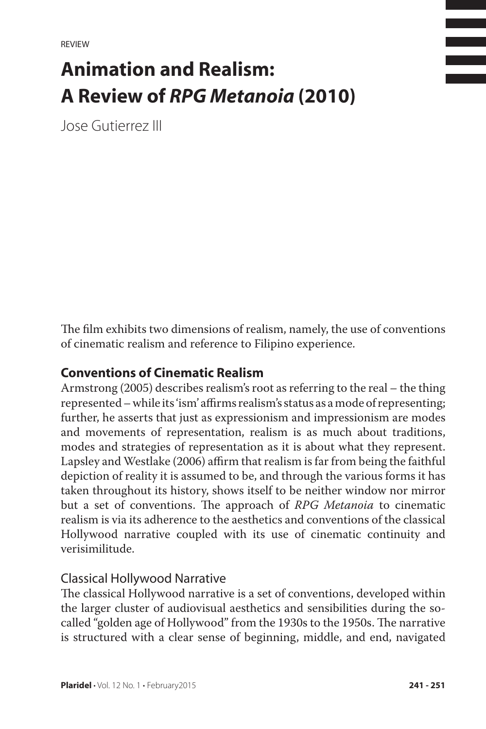# **Animation and Realism: A Review of** *RPG Metanoia* **(2010)**

Jose Gutierrez III

The film exhibits two dimensions of realism, namely, the use of conventions of cinematic realism and reference to Filipino experience.

## **Conventions of Cinematic Realism**

Armstrong (2005) describes realism's root as referring to the real – the thing represented – while its 'ism' affirms realism's status as a mode of representing; further, he asserts that just as expressionism and impressionism are modes and movements of representation, realism is as much about traditions, modes and strategies of representation as it is about what they represent. Lapsley and Westlake (2006) affirm that realism is far from being the faithful depiction of reality it is assumed to be, and through the various forms it has taken throughout its history, shows itself to be neither window nor mirror but a set of conventions. The approach of *RPG Metanoia* to cinematic realism is via its adherence to the aesthetics and conventions of the classical Hollywood narrative coupled with its use of cinematic continuity and verisimilitude.

#### Classical Hollywood Narrative

The classical Hollywood narrative is a set of conventions, developed within the larger cluster of audiovisual aesthetics and sensibilities during the socalled "golden age of Hollywood" from the 1930s to the 1950s. The narrative is structured with a clear sense of beginning, middle, and end, navigated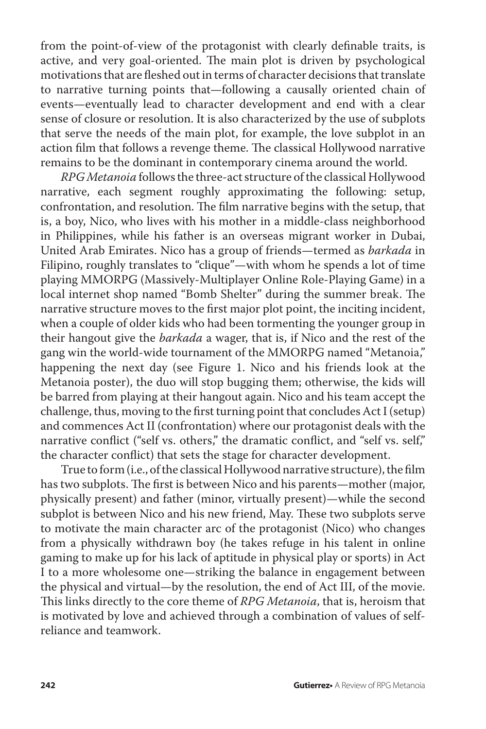from the point-of-view of the protagonist with clearly definable traits, is active, and very goal-oriented. The main plot is driven by psychological motivations that are fleshed out in terms of character decisions that translate to narrative turning points that—following a causally oriented chain of events—eventually lead to character development and end with a clear sense of closure or resolution. It is also characterized by the use of subplots that serve the needs of the main plot, for example, the love subplot in an action film that follows a revenge theme. The classical Hollywood narrative remains to be the dominant in contemporary cinema around the world.

*RPG Metanoia* follows the three-act structure of the classical Hollywood narrative, each segment roughly approximating the following: setup, confrontation, and resolution. The film narrative begins with the setup, that is, a boy, Nico, who lives with his mother in a middle-class neighborhood in Philippines, while his father is an overseas migrant worker in Dubai, United Arab Emirates. Nico has a group of friends—termed as *barkada* in Filipino, roughly translates to "clique"—with whom he spends a lot of time playing MMORPG (Massively-Multiplayer Online Role-Playing Game) in a local internet shop named "Bomb Shelter" during the summer break. The narrative structure moves to the first major plot point, the inciting incident, when a couple of older kids who had been tormenting the younger group in their hangout give the *barkada* a wager, that is, if Nico and the rest of the gang win the world-wide tournament of the MMORPG named "Metanoia," happening the next day (see Figure 1. Nico and his friends look at the Metanoia poster), the duo will stop bugging them; otherwise, the kids will be barred from playing at their hangout again. Nico and his team accept the challenge, thus, moving to the first turning point that concludes Act I (setup) and commences Act II (confrontation) where our protagonist deals with the narrative conflict ("self vs. others," the dramatic conflict, and "self vs. self," the character conflict) that sets the stage for character development.

True to form (i.e., of the classical Hollywood narrative structure), the film has two subplots. The first is between Nico and his parents—mother (major, physically present) and father (minor, virtually present)—while the second subplot is between Nico and his new friend, May. These two subplots serve to motivate the main character arc of the protagonist (Nico) who changes from a physically withdrawn boy (he takes refuge in his talent in online gaming to make up for his lack of aptitude in physical play or sports) in Act I to a more wholesome one—striking the balance in engagement between the physical and virtual—by the resolution, the end of Act III, of the movie. This links directly to the core theme of *RPG Metanoia*, that is, heroism that is motivated by love and achieved through a combination of values of selfreliance and teamwork.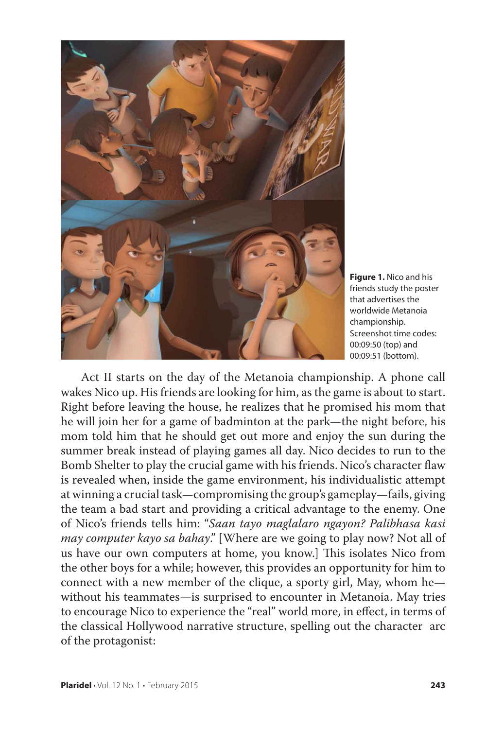

**Figure 1.** Nico and his friends study the poster that advertises the worldwide Metanoia championship. Screenshot time codes: 00:09:50 (top) and 00:09:51 (bottom).

Act II starts on the day of the Metanoia championship. A phone call wakes Nico up. His friends are looking for him, as the game is about to start. Right before leaving the house, he realizes that he promised his mom that he will join her for a game of badminton at the park—the night before, his mom told him that he should get out more and enjoy the sun during the summer break instead of playing games all day. Nico decides to run to the Bomb Shelter to play the crucial game with his friends. Nico's character flaw is revealed when, inside the game environment, his individualistic attempt at winning a crucial task—compromising the group's gameplay—fails, giving the team a bad start and providing a critical advantage to the enemy. One of Nico's friends tells him: "*Saan tayo maglalaro ngayon? Palibhasa kasi may computer kayo sa bahay*." [Where are we going to play now? Not all of us have our own computers at home, you know.] This isolates Nico from the other boys for a while; however, this provides an opportunity for him to connect with a new member of the clique, a sporty girl, May, whom he without his teammates—is surprised to encounter in Metanoia. May tries to encourage Nico to experience the "real" world more, in effect, in terms of the classical Hollywood narrative structure, spelling out the character arc of the protagonist: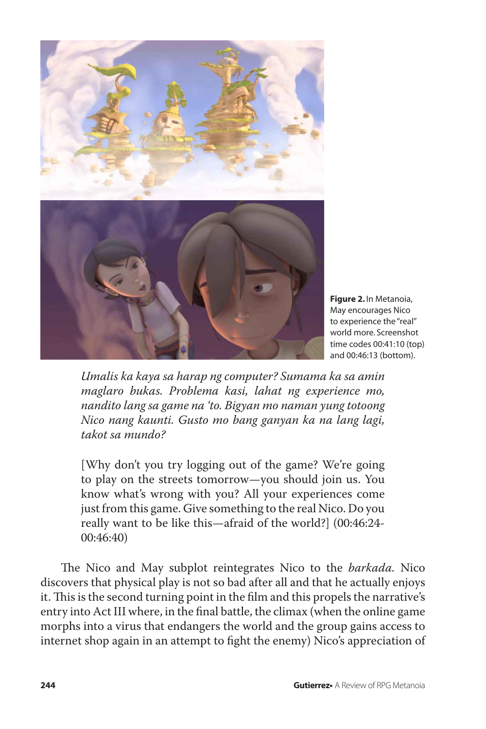

**Figure 2.** In Metanoia, May encourages Nico to experience the "real" world more. Screenshot time codes 00:41:10 (top) and 00:46:13 (bottom).

*Umalis ka kaya sa harap ng computer? Sumama ka sa amin maglaro bukas. Problema kasi, lahat ng experience mo, nandito lang sa game na 'to. Bigyan mo naman yung totoong Nico nang kaunti. Gusto mo bang ganyan ka na lang lagi, takot sa mundo?*

[Why don't you try logging out of the game? We're going to play on the streets tomorrow—you should join us. You know what's wrong with you? All your experiences come just from this game. Give something to the real Nico. Do you really want to be like this—afraid of the world?] (00:46:24- 00:46:40)

The Nico and May subplot reintegrates Nico to the *barkada.* Nico discovers that physical play is not so bad after all and that he actually enjoys it. This is the second turning point in the film and this propels the narrative's entry into Act III where, in the final battle, the climax (when the online game morphs into a virus that endangers the world and the group gains access to internet shop again in an attempt to fight the enemy) Nico's appreciation of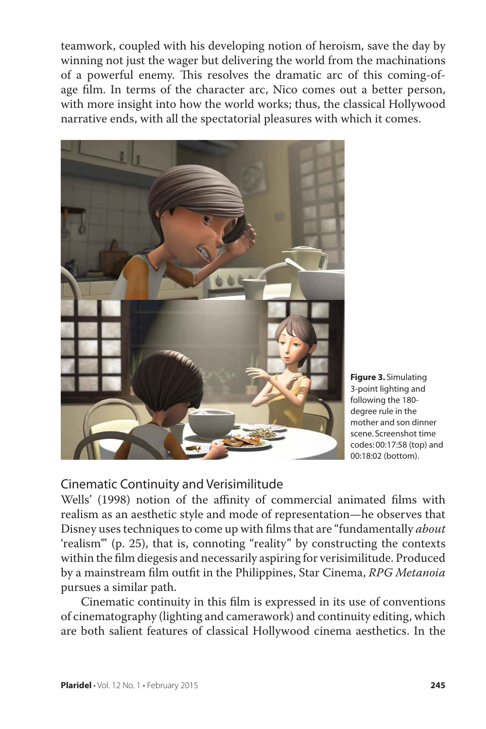teamwork, coupled with his developing notion of heroism, save the day by winning not just the wager but delivering the world from the machinations of a powerful enemy. This resolves the dramatic arc of this coming-ofage film. In terms of the character arc, Nico comes out a better person, with more insight into how the world works; thus, the classical Hollywood narrative ends, with all the spectatorial pleasures with which it comes.



**Figure 3.** Simulating 3-point lighting and following the 180 degree rule in the mother and son dinner scene. Screenshot time codes: 00:17:58 (top) and 00:18:02 (bottom).

# Cinematic Continuity and Verisimilitude

Wells' (1998) notion of the affinity of commercial animated films with realism as an aesthetic style and mode of representation—he observes that Disney uses techniques to come up with films that are "fundamentally *about* 'realism'" (p. 25), that is, connoting "reality" by constructing the contexts within the film diegesis and necessarily aspiring for verisimilitude. Produced by a mainstream film outfit in the Philippines, Star Cinema, *RPG Metanoia* pursues a similar path.

Cinematic continuity in this film is expressed in its use of conventions of cinematography (lighting and camerawork) and continuity editing, which are both salient features of classical Hollywood cinema aesthetics. In the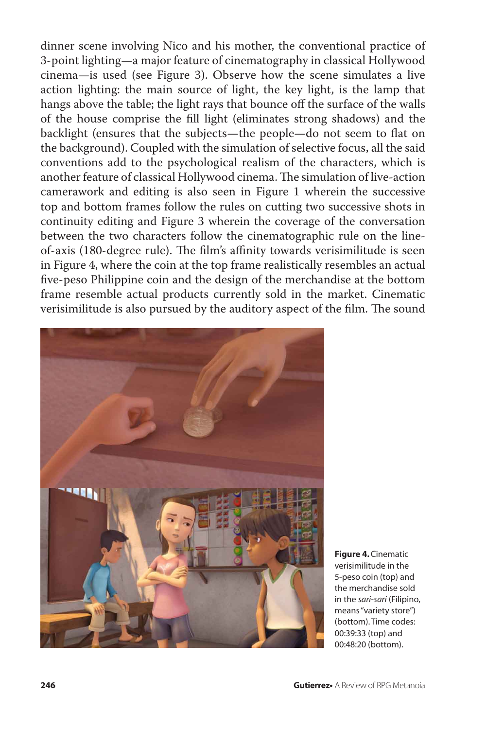dinner scene involving Nico and his mother, the conventional practice of 3-point lighting—a major feature of cinematography in classical Hollywood cinema—is used (see Figure 3). Observe how the scene simulates a live action lighting: the main source of light, the key light, is the lamp that hangs above the table; the light rays that bounce off the surface of the walls of the house comprise the fill light (eliminates strong shadows) and the backlight (ensures that the subjects—the people—do not seem to flat on the background). Coupled with the simulation of selective focus, all the said conventions add to the psychological realism of the characters, which is another feature of classical Hollywood cinema. The simulation of live-action camerawork and editing is also seen in Figure 1 wherein the successive top and bottom frames follow the rules on cutting two successive shots in continuity editing and Figure 3 wherein the coverage of the conversation between the two characters follow the cinematographic rule on the lineof-axis (180-degree rule). The film's affinity towards verisimilitude is seen in Figure 4, where the coin at the top frame realistically resembles an actual five-peso Philippine coin and the design of the merchandise at the bottom frame resemble actual products currently sold in the market. Cinematic verisimilitude is also pursued by the auditory aspect of the film. The sound



**Figure 4.** Cinematic verisimilitude in the 5-peso coin (top) and the merchandise sold in the *sari-sari* (Filipino, means "variety store") (bottom). Time codes: 00:39:33 (top) and 00:48:20 (bottom).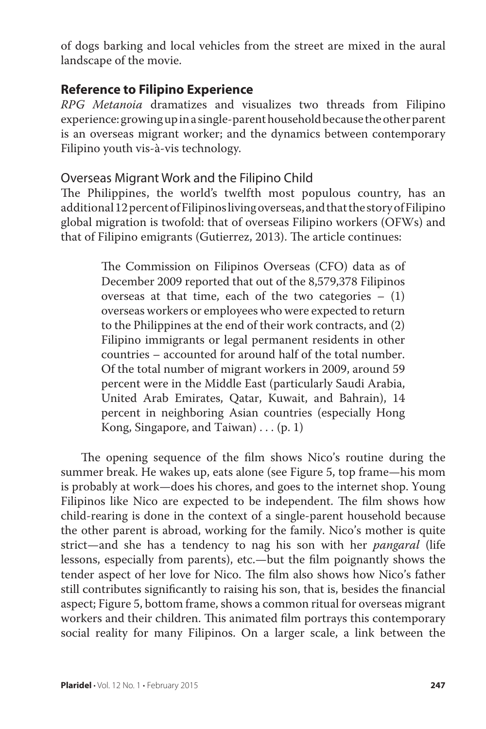of dogs barking and local vehicles from the street are mixed in the aural landscape of the movie.

## **Reference to Filipino Experience**

*RPG Metanoia* dramatizes and visualizes two threads from Filipino experience: growing up in a single-parent household because the other parent is an overseas migrant worker; and the dynamics between contemporary Filipino youth vis-à-vis technology.

#### Overseas Migrant Work and the Filipino Child

The Philippines, the world's twelfth most populous country, has an additional 12 percent of Filipinos living overseas, and that the story of Filipino global migration is twofold: that of overseas Filipino workers (OFWs) and that of Filipino emigrants (Gutierrez, 2013). The article continues:

> The Commission on Filipinos Overseas (CFO) data as of December 2009 reported that out of the 8,579,378 Filipinos overseas at that time, each of the two categories  $-$  (1) overseas workers or employees who were expected to return to the Philippines at the end of their work contracts, and (2) Filipino immigrants or legal permanent residents in other countries – accounted for around half of the total number. Of the total number of migrant workers in 2009, around 59 percent were in the Middle East (particularly Saudi Arabia, United Arab Emirates, Qatar, Kuwait, and Bahrain), 14 percent in neighboring Asian countries (especially Hong Kong, Singapore, and Taiwan)  $\dots$  (p. 1)

The opening sequence of the film shows Nico's routine during the summer break. He wakes up, eats alone (see Figure 5, top frame—his mom is probably at work—does his chores, and goes to the internet shop. Young Filipinos like Nico are expected to be independent. The film shows how child-rearing is done in the context of a single-parent household because the other parent is abroad, working for the family. Nico's mother is quite strict—and she has a tendency to nag his son with her *pangaral* (life lessons, especially from parents), etc.—but the film poignantly shows the tender aspect of her love for Nico. The film also shows how Nico's father still contributes significantly to raising his son, that is, besides the financial aspect; Figure 5, bottom frame, shows a common ritual for overseas migrant workers and their children. This animated film portrays this contemporary social reality for many Filipinos. On a larger scale, a link between the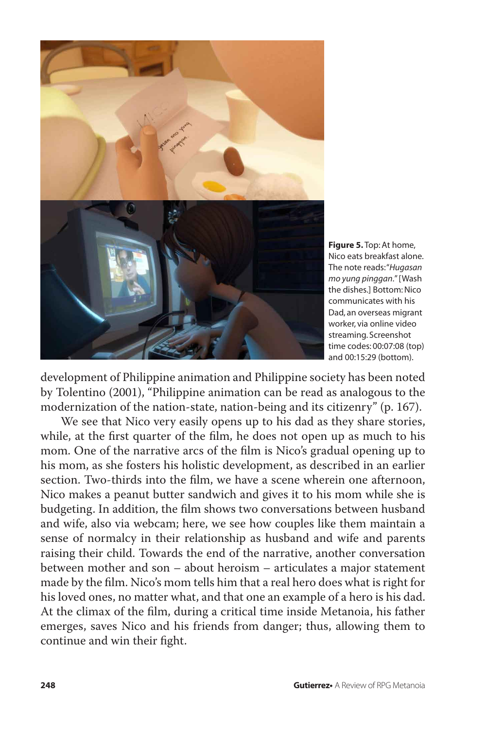

**Figure 5.** Top: At home, Nico eats breakfast alone. The note reads: "*Hugasan mo yung pinggan*." [Wash the dishes.] Bottom: Nico communicates with his Dad, an overseas migrant worker, via online video streaming. Screenshot time codes: 00:07:08 (top) and 00:15:29 (bottom).

development of Philippine animation and Philippine society has been noted by Tolentino (2001), "Philippine animation can be read as analogous to the modernization of the nation-state, nation-being and its citizenry" (p. 167).

We see that Nico very easily opens up to his dad as they share stories, while, at the first quarter of the film, he does not open up as much to his mom. One of the narrative arcs of the film is Nico's gradual opening up to his mom, as she fosters his holistic development, as described in an earlier section. Two-thirds into the film, we have a scene wherein one afternoon, Nico makes a peanut butter sandwich and gives it to his mom while she is budgeting. In addition, the film shows two conversations between husband and wife, also via webcam; here, we see how couples like them maintain a sense of normalcy in their relationship as husband and wife and parents raising their child. Towards the end of the narrative, another conversation between mother and son – about heroism – articulates a major statement made by the film. Nico's mom tells him that a real hero does what is right for his loved ones, no matter what, and that one an example of a hero is his dad. At the climax of the film, during a critical time inside Metanoia, his father emerges, saves Nico and his friends from danger; thus, allowing them to continue and win their fight.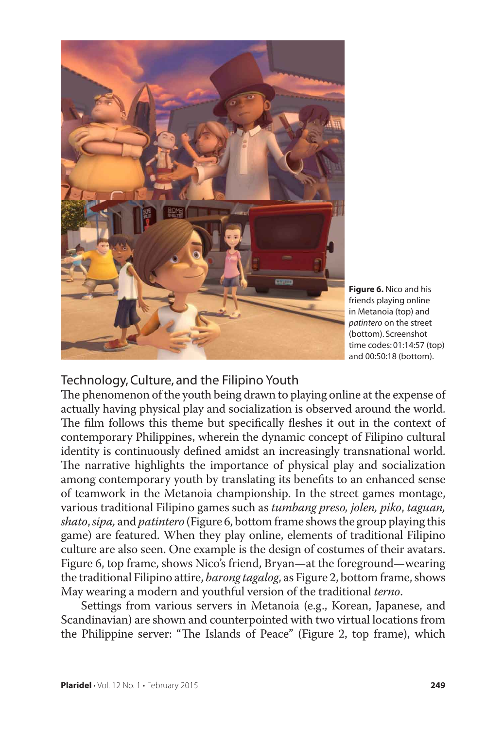

**Figure 6.** Nico and his friends playing online in Metanoia (top) and *patintero* on the street (bottom). Screenshot time codes: 01:14:57 (top) and 00:50:18 (bottom).

#### Technology, Culture, and the Filipino Youth

The phenomenon of the youth being drawn to playing online at the expense of actually having physical play and socialization is observed around the world. The film follows this theme but specifically fleshes it out in the context of contemporary Philippines, wherein the dynamic concept of Filipino cultural identity is continuously defined amidst an increasingly transnational world. The narrative highlights the importance of physical play and socialization among contemporary youth by translating its benefits to an enhanced sense of teamwork in the Metanoia championship. In the street games montage, various traditional Filipino games such as *tumbang preso, jolen, piko*, *taguan, shato*, *sipa,* and *patintero* (Figure 6, bottom frame shows the group playing this game) are featured. When they play online, elements of traditional Filipino culture are also seen. One example is the design of costumes of their avatars. Figure 6, top frame, shows Nico's friend, Bryan—at the foreground—wearing the traditional Filipino attire, *barong tagalog*, as Figure 2, bottom frame, shows May wearing a modern and youthful version of the traditional *terno*.

Settings from various servers in Metanoia (e.g., Korean, Japanese, and Scandinavian) are shown and counterpointed with two virtual locations from the Philippine server: "The Islands of Peace" (Figure 2, top frame), which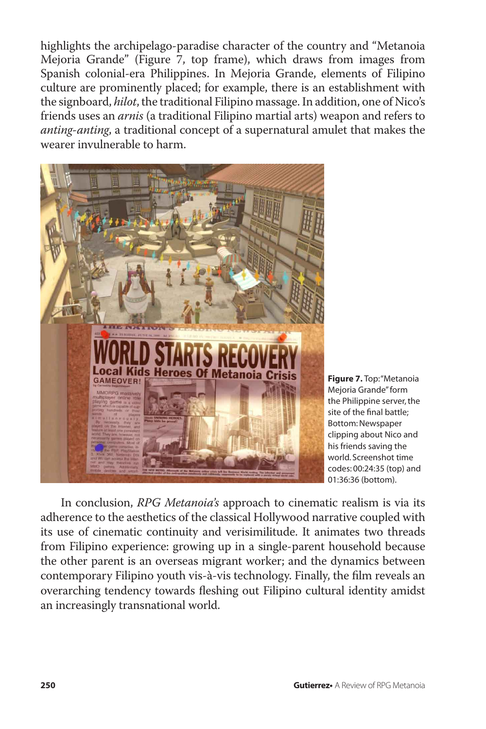highlights the archipelago-paradise character of the country and "Metanoia Mejoria Grande" (Figure 7, top frame), which draws from images from Spanish colonial-era Philippines. In Mejoria Grande, elements of Filipino culture are prominently placed; for example, there is an establishment with the signboard, *hilot*, the traditional Filipino massage. In addition, one of Nico's friends uses an *arnis* (a traditional Filipino martial arts) weapon and refers to *anting-anting*, a traditional concept of a supernatural amulet that makes the wearer invulnerable to harm.



**Figure 7.** Top: "Metanoia Mejoria Grande" form the Philippine server, the site of the final battle; Bottom: Newspaper clipping about Nico and his friends saving the world. Screenshot time codes: 00:24:35 (top) and 01:36:36 (bottom).

In conclusion, *RPG Metanoia's* approach to cinematic realism is via its adherence to the aesthetics of the classical Hollywood narrative coupled with its use of cinematic continuity and verisimilitude. It animates two threads from Filipino experience: growing up in a single-parent household because the other parent is an overseas migrant worker; and the dynamics between contemporary Filipino youth vis-à-vis technology. Finally, the film reveals an overarching tendency towards fleshing out Filipino cultural identity amidst an increasingly transnational world.